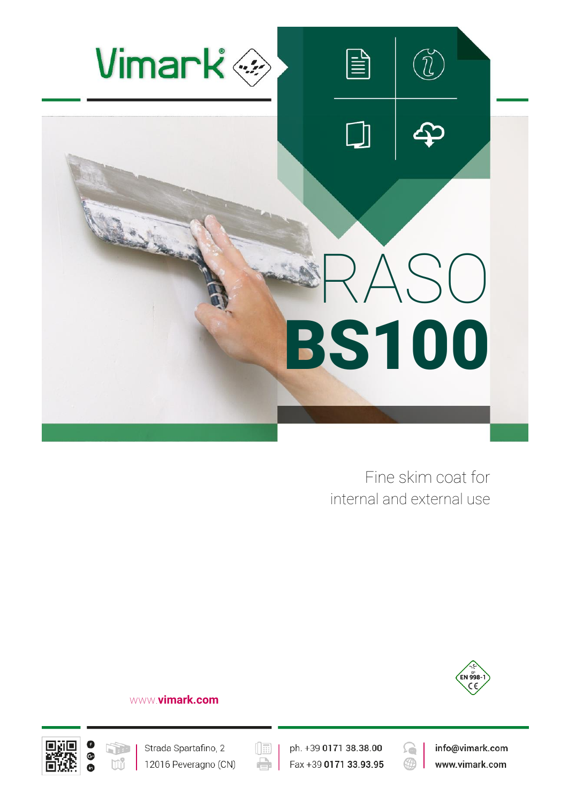

Fine skim coat for internal and external use



#### www.**vimark.com**





Strada Spartafino, 2 12016 Peveragno (CN) ph. +39 0171 38.38.00 Fax +39 0171 33.93.95

 $(\boxed{\mathbb{E}}$ 

÷



info@vimark.com www.vimark.com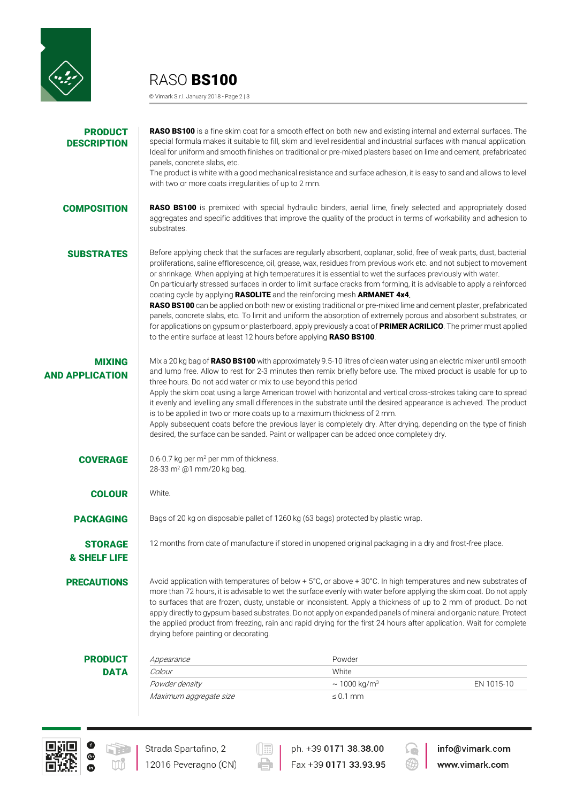

RASO BS100

© Vimark S.r.l. January 2018 - Page 2 | 3

| <b>PRODUCT</b><br><b>DESCRIPTION</b>      | panels, concrete slabs, etc.<br>with two or more coats irregularities of up to 2 mm.                                                                                                                                                                                                                                                                                                                                                                                                                                                                                                                                                                                                                                                                                                                                                                 | RASO BS100 is a fine skim coat for a smooth effect on both new and existing internal and external surfaces. The<br>special formula makes it suitable to fill, skim and level residential and industrial surfaces with manual application.<br>Ideal for uniform and smooth finishes on traditional or pre-mixed plasters based on lime and cement, prefabricated<br>The product is white with a good mechanical resistance and surface adhesion, it is easy to sand and allows to level                                                                                                                                                                                                                                                                                                                                                                                                                                          |            |
|-------------------------------------------|------------------------------------------------------------------------------------------------------------------------------------------------------------------------------------------------------------------------------------------------------------------------------------------------------------------------------------------------------------------------------------------------------------------------------------------------------------------------------------------------------------------------------------------------------------------------------------------------------------------------------------------------------------------------------------------------------------------------------------------------------------------------------------------------------------------------------------------------------|---------------------------------------------------------------------------------------------------------------------------------------------------------------------------------------------------------------------------------------------------------------------------------------------------------------------------------------------------------------------------------------------------------------------------------------------------------------------------------------------------------------------------------------------------------------------------------------------------------------------------------------------------------------------------------------------------------------------------------------------------------------------------------------------------------------------------------------------------------------------------------------------------------------------------------|------------|
| <b>COMPOSITION</b>                        | substrates.                                                                                                                                                                                                                                                                                                                                                                                                                                                                                                                                                                                                                                                                                                                                                                                                                                          | RASO BS100 is premixed with special hydraulic binders, aerial lime, finely selected and appropriately dosed<br>aggregates and specific additives that improve the quality of the product in terms of workability and adhesion to                                                                                                                                                                                                                                                                                                                                                                                                                                                                                                                                                                                                                                                                                                |            |
| <b>SUBSTRATES</b>                         | to the entire surface at least 12 hours before applying RASO BS100.                                                                                                                                                                                                                                                                                                                                                                                                                                                                                                                                                                                                                                                                                                                                                                                  | Before applying check that the surfaces are regularly absorbent, coplanar, solid, free of weak parts, dust, bacterial<br>proliferations, saline efflorescence, oil, grease, wax, residues from previous work etc. and not subject to movement<br>or shrinkage. When applying at high temperatures it is essential to wet the surfaces previously with water.<br>On particularly stressed surfaces in order to limit surface cracks from forming, it is advisable to apply a reinforced<br>coating cycle by applying RASOLITE and the reinforcing mesh ARMANET 4x4.<br>RASO BS100 can be applied on both new or existing traditional or pre-mixed lime and cement plaster, prefabricated<br>panels, concrete slabs, etc. To limit and uniform the absorption of extremely porous and absorbent substrates, or<br>for applications on gypsum or plasterboard, apply previously a coat of PRIMER ACRILICO. The primer must applied |            |
| <b>MIXING</b><br><b>AND APPLICATION</b>   | Mix a 20 kg bag of RASO BS100 with approximately 9.5-10 litres of clean water using an electric mixer until smooth<br>and lump free. Allow to rest for 2-3 minutes then remix briefly before use. The mixed product is usable for up to<br>three hours. Do not add water or mix to use beyond this period<br>Apply the skim coat using a large American trowel with horizontal and vertical cross-strokes taking care to spread<br>it evenly and levelling any small differences in the substrate until the desired appearance is achieved. The product<br>is to be applied in two or more coats up to a maximum thickness of 2 mm.<br>Apply subsequent coats before the previous layer is completely dry. After drying, depending on the type of finish<br>desired, the surface can be sanded. Paint or wallpaper can be added once completely dry. |                                                                                                                                                                                                                                                                                                                                                                                                                                                                                                                                                                                                                                                                                                                                                                                                                                                                                                                                 |            |
| <b>COVERAGE</b>                           | 0.6-0.7 kg per m <sup>2</sup> per mm of thickness.<br>28-33 m <sup>2</sup> @1 mm/20 kg bag.                                                                                                                                                                                                                                                                                                                                                                                                                                                                                                                                                                                                                                                                                                                                                          |                                                                                                                                                                                                                                                                                                                                                                                                                                                                                                                                                                                                                                                                                                                                                                                                                                                                                                                                 |            |
| <b>COLOUR</b>                             | White.                                                                                                                                                                                                                                                                                                                                                                                                                                                                                                                                                                                                                                                                                                                                                                                                                                               |                                                                                                                                                                                                                                                                                                                                                                                                                                                                                                                                                                                                                                                                                                                                                                                                                                                                                                                                 |            |
| <b>PACKAGING</b>                          |                                                                                                                                                                                                                                                                                                                                                                                                                                                                                                                                                                                                                                                                                                                                                                                                                                                      | Bags of 20 kg on disposable pallet of 1260 kg (63 bags) protected by plastic wrap.                                                                                                                                                                                                                                                                                                                                                                                                                                                                                                                                                                                                                                                                                                                                                                                                                                              |            |
| <b>STORAGE</b><br><b>&amp; SHELF LIFE</b> |                                                                                                                                                                                                                                                                                                                                                                                                                                                                                                                                                                                                                                                                                                                                                                                                                                                      | 12 months from date of manufacture if stored in unopened original packaging in a dry and frost-free place.                                                                                                                                                                                                                                                                                                                                                                                                                                                                                                                                                                                                                                                                                                                                                                                                                      |            |
| <b>PRECAUTIONS</b>                        | Avoid application with temperatures of below + 5°C, or above + 30°C. In high temperatures and new substrates of<br>more than 72 hours, it is advisable to wet the surface evenly with water before applying the skim coat. Do not apply<br>to surfaces that are frozen, dusty, unstable or inconsistent. Apply a thickness of up to 2 mm of product. Do not<br>apply directly to gypsum-based substrates. Do not apply on expanded panels of mineral and organic nature. Protect<br>the applied product from freezing, rain and rapid drying for the first 24 hours after application. Wait for complete<br>drying before painting or decorating.                                                                                                                                                                                                    |                                                                                                                                                                                                                                                                                                                                                                                                                                                                                                                                                                                                                                                                                                                                                                                                                                                                                                                                 |            |
| <b>PRODUCT</b>                            | Appearance                                                                                                                                                                                                                                                                                                                                                                                                                                                                                                                                                                                                                                                                                                                                                                                                                                           | Powder                                                                                                                                                                                                                                                                                                                                                                                                                                                                                                                                                                                                                                                                                                                                                                                                                                                                                                                          |            |
| <b>DATA</b>                               | Colour                                                                                                                                                                                                                                                                                                                                                                                                                                                                                                                                                                                                                                                                                                                                                                                                                                               | White                                                                                                                                                                                                                                                                                                                                                                                                                                                                                                                                                                                                                                                                                                                                                                                                                                                                                                                           |            |
|                                           | Powder density                                                                                                                                                                                                                                                                                                                                                                                                                                                                                                                                                                                                                                                                                                                                                                                                                                       | $\sim$ 1000 kg/m <sup>3</sup>                                                                                                                                                                                                                                                                                                                                                                                                                                                                                                                                                                                                                                                                                                                                                                                                                                                                                                   | EN 1015-10 |
|                                           | Maximum aggregate size                                                                                                                                                                                                                                                                                                                                                                                                                                                                                                                                                                                                                                                                                                                                                                                                                               | $\leq 0.1$ mm                                                                                                                                                                                                                                                                                                                                                                                                                                                                                                                                                                                                                                                                                                                                                                                                                                                                                                                   |            |



 $\left(\begin{array}{ccc}\hline\hline\hline\cdots\hline\hline\cdots\hline\end{array}\right)$ 

ph. +39 0171 38.38.00 Fax +39 0171 33.93.95

-1

 $\oplus$ 



info@vimark.com www.vimark.com